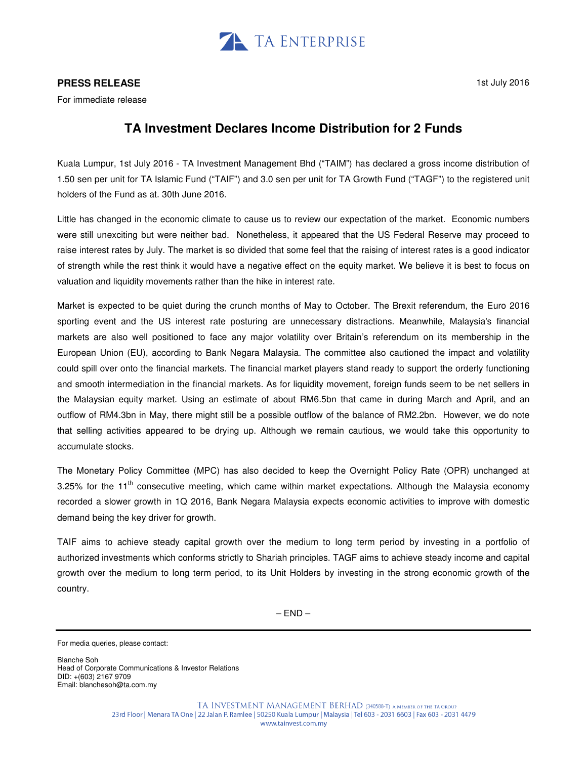

## **PRESS RELEASE**

1st July 2016

For immediate release

## **TA Investment Declares Income Distribution for 2 Funds**

Kuala Lumpur, 1st July 2016 - TA Investment Management Bhd ("TAIM") has declared a gross income distribution of 1.50 sen per unit for TA Islamic Fund ("TAIF") and 3.0 sen per unit for TA Growth Fund ("TAGF") to the registered unit holders of the Fund as at. 30th June 2016.

Little has changed in the economic climate to cause us to review our expectation of the market. Economic numbers were still unexciting but were neither bad. Nonetheless, it appeared that the US Federal Reserve may proceed to raise interest rates by July. The market is so divided that some feel that the raising of interest rates is a good indicator of strength while the rest think it would have a negative effect on the equity market. We believe it is best to focus on valuation and liquidity movements rather than the hike in interest rate.

Market is expected to be quiet during the crunch months of May to October. The Brexit referendum, the Euro 2016 sporting event and the US interest rate posturing are unnecessary distractions. Meanwhile, Malaysia's financial markets are also well positioned to face any major volatility over Britain's referendum on its membership in the European Union (EU), according to Bank Negara Malaysia. The committee also cautioned the impact and volatility could spill over onto the financial markets. The financial market players stand ready to support the orderly functioning and smooth intermediation in the financial markets. As for liquidity movement, foreign funds seem to be net sellers in the Malaysian equity market. Using an estimate of about RM6.5bn that came in during March and April, and an outflow of RM4.3bn in May, there might still be a possible outflow of the balance of RM2.2bn. However, we do note that selling activities appeared to be drying up. Although we remain cautious, we would take this opportunity to accumulate stocks.

The Monetary Policy Committee (MPC) has also decided to keep the Overnight Policy Rate (OPR) unchanged at  $3.25\%$  for the 11<sup>th</sup> consecutive meeting, which came within market expectations. Although the Malaysia economy recorded a slower growth in 1Q 2016, Bank Negara Malaysia expects economic activities to improve with domestic demand being the key driver for growth.

TAIF aims to achieve steady capital growth over the medium to long term period by investing in a portfolio of authorized investments which conforms strictly to Shariah principles. TAGF aims to achieve steady income and capital growth over the medium to long term period, to its Unit Holders by investing in the strong economic growth of the country.

 $-$  END $-$ 

Blanche Soh Head of Corporate Communications & Investor Relations DID: +(603) 2167 9709 Email: blanchesoh@ta.com.my

For media queries, please contact: